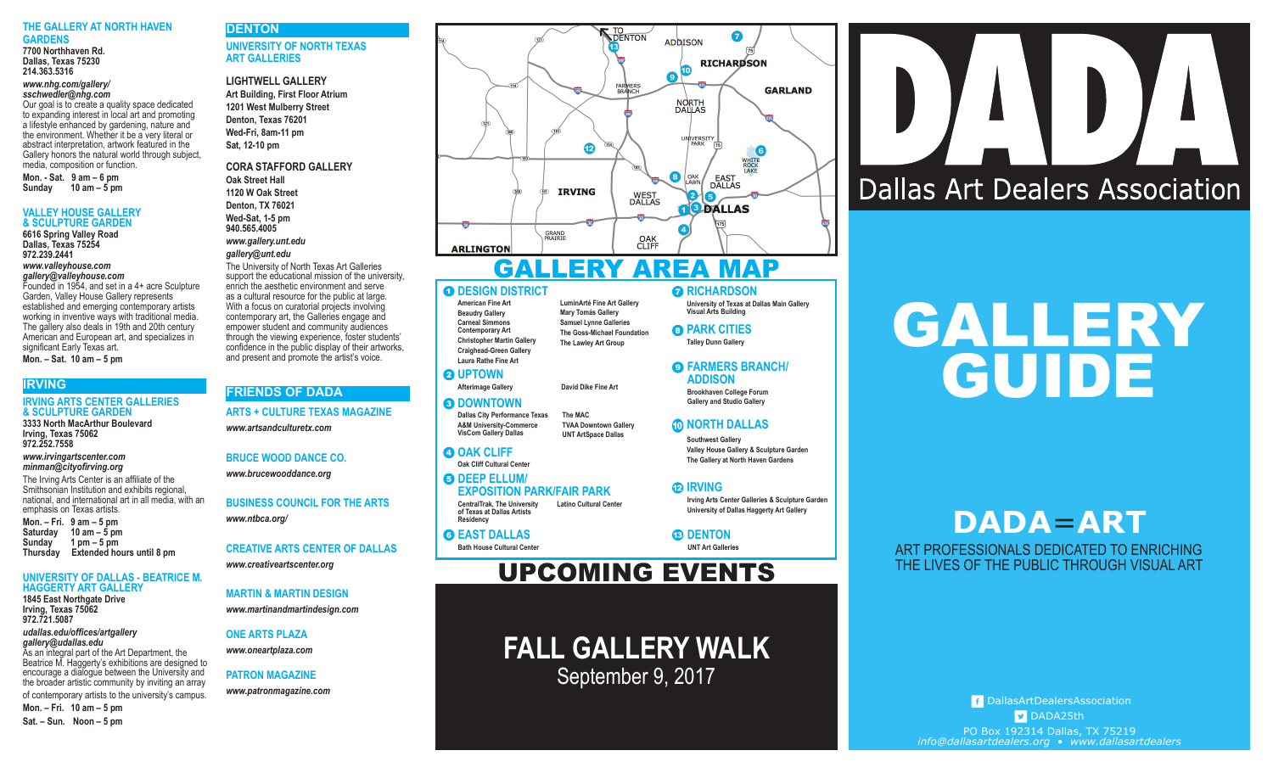#### **THE GALLERY AT NORTH HAVEN GARDENS**

**7700 Northhaven Rd. Dallas, Texas 75230 214.363.5316**

#### *www.nhg.com/gallery/ sschwedler@nhg.com*

Our goal is to create a quality space dedicated to expanding interest in local art and promoting a lifestyle enhanced by gardening, nature and the environment. Whether it be a very literal or abstract interpretation, artwork featured in the Gallery honors the natural world through subject, media, composition or function.

**Mon. - Sat. 9 am – 6 pm Sunday 10 am – 5 pm**

#### **VALLEY HOUSE GALLERY & SCULPTURE GARDEN**

**6616 Spring Valley Road Dallas, Texas 75254 972.239.2441** *www.valleyhouse.com gallery@valleyhouse.com* Founded in 1954, and set in a 4+ acre Sculpture

Garden, Valley House Gallery represents established and emerging contemporary artists working in inventive ways with traditional media. The gallery also deals in 19th and 20th century American and European art, and specializes in significant Early Texas art. **Mon. – Sat. 10 am – 5 pm**

#### **IRVING**

#### **IRVING ARTS CENTER GALLERIES & SCULPTURE GARDEN 3333 North MacArthur Boulevard**

**Irving, Texas 75062 972.252.7558**

#### *www.irvingartscenter.com minman@cityofirving.org*

The Irving Arts Center is an affiliate of the Smithsonian Institution and exhibits regional, national, and international art in all media, with an emphasis on Texas artists. **Mon. – Fri. 9 am – 5 pm Saturday 10 am – 5 pm Sunday 1 pm – 5 pm Extended hours until 8 pm** 

#### **UNIVERSITY OF DALLAS - BEATRICE M. HAGGERTY ART GALLERY**

**1845 East Northgate Drive Irving, Texas 75062 972.721.5087**

*udallas.edu/offices/artgallery gallery@udallas.edu* As an integral part of the Art Department, the

Beatrice M. Haggerty's exhibitions are designed to encourage a dialogue between the University and the broader artistic community by inviting an array of contemporary artists to the university's campus. **Mon. – Fri. 10 am – 5 pm**

**Sat. – Sun. Noon – 5 pm**

#### **DENTON UNIVERSITY OF NORTH TEXAS**

**ART GALLERIES**

#### **LIGHTWELL GALLERY**

**Art Building, First Floor Atrium 1201 West Mulberry Street Denton, Texas 76201 Wed-Fri, 8am-11 pm Sat, 12-10 pm**

#### **CORA STAFFORD GALLERY**

**Oak Street Hall 1120 W Oak Street Denton, TX 76021 Wed-Sat, 1-5 pm 940.565.4005** *www.gallery.unt.edu gallery@unt.edu* The University of North Texas Art Galleries

support the educational mission of the university, enrich the aesthetic environment and serve as a cultural resource for the public at large. With a focus on curatorial projects involving contemporary art, the Galleries engage and empower student and community audiences through the viewing experience, foster students' confidence in the public display of their artworks, and present and promote the artist's voice.

#### **FRIENDS OF DADA**

**ARTS + CULTURE TEXAS MAGAZINE**

*www.artsandculturetx.com*

## **BRUCE WOOD DANCE CO.**

*www.brucewooddance.org*

**BUSINESS COUNCIL FOR THE ARTS** *www.ntbca.org/*

#### **CREATIVE ARTS CENTER OF DALLAS**

*www.creativeartscenter.org*

#### **MARTIN & MARTIN DESIGN**

*www.martinandmartindesign.com*

#### **ONE ARTS PLAZA**

*www.oneartplaza.com*

## **PATRON MAGAZINE**



## GALLERY AREA MAP

**LuminArté Fine Art Gallery Mary Tomás Gallery Samuel Lynne Galleries The Goss-Michael Foundation The Lawley Art Group**

#### **O DESIGN DISTRICT**

**American Fine Art Beaudry Gallery Carneal Simmons Contemporary Art Christopher Martin Gallery Craighead-Green Gallery Laura Rathe Fine Art**

#### **Q** UPTOWN

**Afterimage Gallery David Dike Fine Art**

#### **<sup>O</sup>DOWNTOWN**

**Dallas City Performance Texas A&M University-Commerce The MAC**

#### **O OAK CLIFF**

**CentralTrak, The University of Texas at Dallas Artists Latino Cultural Center**   $\Theta$  DEEP ELLUM/ **EXPOSITION PARK/FAIR PARK**

**FALL GALLERY WALK** PATRON MAGAZINE WWW.patronmagazine.com<br>WWW.patronmagazine.com

#### **RICHARDSON**

**University of Texas at Dallas Main Gallery Visual Arts Building**

**@ PARK CITIES Talley Dunn Gallery**

#### **O FARMERS BRANCH/ ADDISON**

**Brookhaven College Forum Gallery and Studio Gallery**

#### *CO* **NORTH DALLAS**

**Southwest Gallery Valley House Gallery & Sculpture Garden The Gallery at North Haven Gardens**

#### **IRVING**

**Irving Arts Center Galleries & Sculpture Garden University of Dallas Haggerty Art Gallery**

*C***DENTON** 

**UNT Art Galleries**

## UPCOMING EVENTS

# GALLERY GUIDE

**Dallas Art Dealers Association** 

# **DADA**=**ART**

ART PROFESSIONALS DEDICATED TO ENRICHING THE LIVES OF THE PUBLIC THROUGH VISUAL ART

DallasArtDealersAssociation DADA25th PO Box 192314 Dallas, TX 75219 *info@dallasartdealers.org* • *www.dallasartdealers*

## **Residency G** EAST DALLAS

**Bath House Cultural Center**

#### **Oak Cliff Cultural Center VisCom Gallery Dallas TVAA Downtown Gallery UNT ArtSpace Dallas**